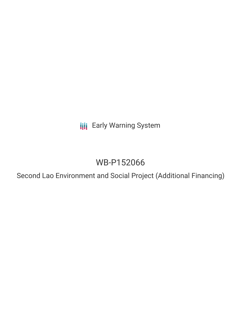**III** Early Warning System

# WB-P152066

Second Lao Environment and Social Project (Additional Financing)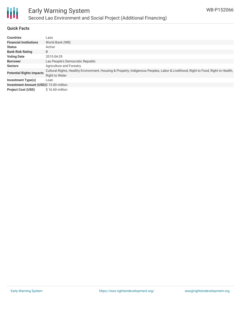

## **Quick Facts**

| <b>Countries</b>                        | Laos                                                                                                                                                       |  |  |
|-----------------------------------------|------------------------------------------------------------------------------------------------------------------------------------------------------------|--|--|
| <b>Financial Institutions</b>           | World Bank (WB)                                                                                                                                            |  |  |
| <b>Status</b>                           | Active                                                                                                                                                     |  |  |
| <b>Bank Risk Rating</b>                 | B                                                                                                                                                          |  |  |
| <b>Voting Date</b>                      | 2015-04-29                                                                                                                                                 |  |  |
| <b>Borrower</b>                         | Lao People's Democratic Republic                                                                                                                           |  |  |
| <b>Sectors</b>                          | Agriculture and Forestry                                                                                                                                   |  |  |
| <b>Potential Rights Impacts</b>         | Cultural Rights, Healthy Environment, Housing & Property, Indigenous Peoples, Labor & Livelihood, Right to Food, Right to Health,<br><b>Right to Water</b> |  |  |
| <b>Investment Type(s)</b>               | Loan                                                                                                                                                       |  |  |
| Investment Amount (USD)\$ 15.00 million |                                                                                                                                                            |  |  |
| <b>Project Cost (USD)</b>               | \$16.60 million                                                                                                                                            |  |  |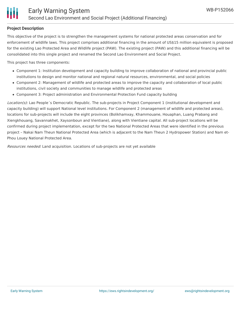### **Project Description**

This objective of the project is to strengthen the management systems for national protected areas conservation and for enforcement of wildlife laws. This project comprises additional financing in the amount of US\$15 million equivalent is proposed for the existing Lao Protected Area and Wildlife project (PAW). The existing project (PAW) and this additional financing will be consolidated into this single project and renamed the Second Lao Environment and Social Project.

This project has three components:

- Component 1: Institution development and capacity building to improve collaboration of national and provincial public institutions to design and monitor national and regional natural resources, environmental, and social policies
- Component 2: Management of wildlife and protected areas to improve the capacity and collaboration of local public institutions, civil society and communities to manage wildlife and protected areas
- Component 3: Project administration and Environmental Protection Fund capacity building

Location(s): Lao People's Democratic Republic. The sub-projects in Project Component 1 (institutional development and capacity building) will support National level institutions. For Component 2 (management of wildlife and protected areas), locations for sub-projects will include the eight provinces (Bolikhamxay, Khammouane, Houaphan, Luang Prabang and Xiengkhouang, Savannakhet, Xaysonboun and Vientiane), along with Vientiane capital. All sub-project locations will be confirmed during project implementation, except for the two National Protected Areas that were identified in the previous project – Nakai Nam Theun National Protected Area (which is adjacent to the Nam Theun 2 Hydropower Station) and Nam et-Phou Louey National Protected Area.

Resources needed: Land acquisition. Locations of sub-projects are not yet available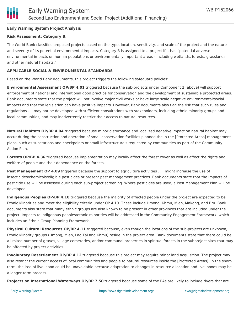# **Early Warning System Project Analysis**

#### **Risk Assessment: Category B.**

The World Bank classifies proposed projects based on the type, location, sensitivity, and scale of the project and the nature and severity of its potential environmental impacts. Category B is assigned to a project if it has "potential adverse environmental impacts on human populations or environmentally important areas - including wetlands, forests, grasslands, and other natural habitats."

#### **APPLICABLE SOCIAL & ENVIRONMENTAL STANDARDS**

Based on the World Bank documents, this project triggers the following safeguard policies:

**Environmental Assessment OP/BP 4.01** triggered because the sub-projects under Component 2 (above) will support enforcement of national and international good practice for conservation and the development of sustainable protected areas. Bank documents state that the project will not involve major civil works or have large scale negative environmental/social impacts and that the legislation can have positive impacts. However, Bank documents also flag the risk that such rules and regulations . . .may not be developed with sufficient consultations with stakeholders, including ethnic minority groups and local communities, and may inadvertently restrict their access to natural resources.

**Natural Habitats OP/BP 4.04** triggered because minor disturbance and localized negative impact on natural habitat may occur during the construction and operation of small conservation facilities planned the in the [Protected Areas] management plans, such as substations and checkpoints or small infrastructure's requested by communities as part of the Community Action Plan.

**Forests OP/BP 4.36** triggered because implementation may locally affect the forest cover as well as affect the rights and welfare of people and their dependence on the forests.

**Pest Management OP 4.09** triggered because the support to agriculture activities . . . might increase the use of insecticides/chemicals/eligible pesticides or present pest management practices. Bank documents state that the impacts of pesticide use will be assessed during each sub-project screening. Where pesticides are used, a Pest Management Plan will be developed.

**Indigenous Peoples OP/BP 4.10** triggered because the majority of affected people under the project are expected to be Ethnic Minorities and meet the eligibility criteria under OP 4.10. These include Hmong, Khmu, Mien, Makong, and Bru. Bank documents also state that many ethnic groups are also known to be present in other provinces that are included under the project. Impacts to indigenous peoples/ethnic minorities will be addressed in the Community Engagement Framework, which includes an Ethnic Group Planning Framework.

**Physical Cultural Resources OP/BP 4.11** triggered because, even though the locations of the sub-projects are unknown, Ethnic Minority groups (Hmong, Mien, Lao Tai and Khmu) reside in the project area. Bank documents state that there could be a limited number of graves, village cemeteries, and/or communal properties in spiritual forests in the subproject sites that may be affected by project activities.

**Involuntary Resettlement OP/BP 4.12** triggered because this project may require minor land acquisition. The project may also restrict the current access of local communities and people to natural resources inside the [Protected Areas]. In the shortterm, the loss of livelihood could be unavoidable because adaptation to changes in resource allocation and livelihoods may be a longer-term process.

**Projects on International Waterways OP/BP 7.50** triggered because some of the PAs are likely to include rivers that are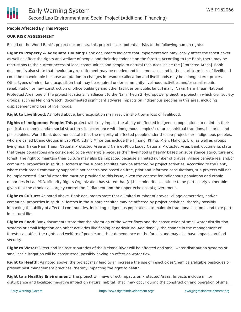## **People Affected By This Project**

## **OUR RISK ASSESSMENT**

Based on the World Bank's project documents, this project poses potential risks to the following human rights:

**Right to Property & Adequate Housing:** Bank documents indicate that implementation may locally affect the forest cover as well as affect the rights and welfare of people and their dependence on the forests. According to the Bank, there may be restrictions to the current access of local communities and people to natural resources inside the [Protected Areas]. Bank documents also state that involuntary resettlement may be needed and in some cases and in the short term loss of livelihood could be unavoidable because adaptation to changes in resource allocation and livelihoods may be a longer-term process. Other types of minor land acquisition that may be required under community livelihood activities and/or small repair, rehabilitation or new construction of office buildings and other facilities on public land. Finally, Nakai Nam Theun National Protected Area, one of the project locations, is adjacent to the Nam Theun 2 Hydropower project, a project in which civil society groups, such as Mekong Watch, documented significant adverse impacts on indigenous peoples in this area, including displacement and loss of livelihoods.

**Right to Livelihood:** As noted above, land acquisition may result in short term loss of livelihood.

**Rights of Indigenous People:** This project will likely impact the ability of affected indigenous populations to maintain their political, economic and/or social structures in accordance with indigenous peoples' cultures, spiritual traditions, histories and philosophies. World Bank documents state that the majority of affected people under the sub-projects are indigenous peoples, who are called Ethnic Groups in Lao PDR. Ethnic Minorities include the Hmong, Khmu, Mien, Makong, Bru, as well as groups living near Nakai Nam Theun National Protected Area and Nam et-Phou Louey National Protected Area. Bank documents state that these populations are considered to be vulnerable because their livelihood is heavily based on subsistence agriculture and forest. The right to maintain their culture may also be impacted because a limited number of graves, village cemeteries, and/or communal properties in spiritual forests in the subproject sites may be affected by project activities. According to the Bank, where their broad community support is not ascertained based on free, prior and informed consultations, sub-projects will not be implemented. Careful attention must be provided to this issue, given the context for indigenous population and ethnic minorities in Lao PDR. Minority Rights Organization has stated that [e]thnic minorities continue to be particularly vulnerable given that the ethnic Lao largely control the Parliament and the upper echelons of government.

**Right to Culture:** As noted above, Bank documents state that a limited number of graves, village cemeteries, and/or communal properties in spiritual forests in the subproject sites may be affected by project activities, thereby possibly impacting the ability of affected communities, including indigenous populations, to maintain traditional customs and take part in cultural life.

**Right to Food:** Bank documents state that the alteration of the water flows and the construction of small water distribution systems or small irrigation can affect activities like fishing or agriculture. Additionally, the change in the management of forests can affect the rights and welfare of people and their dependence on the forests and may also have impacts on food security.

**Right to Water:** Direct and indirect tributaries of the Mekong River will be affected and small water distribution systems or small scale irrigation will be constructed, possibly having an effect on water flow.

**Right to Health:** As noted above, the project may lead to an increase the use of insecticides/chemicals/eligible pesticides or present pest management practices, thereby impacting the right to health.

**Right to a Healthy Environment:** The project will have direct impacts on Protected Areas. Impacts include minor disturbance and localized negative impact on natural habitat [that] may occur during the construction and operation of small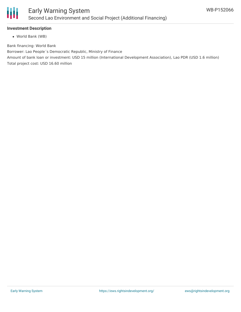

### **Investment Description**

World Bank (WB)

Bank financing: World Bank

Borrower: Lao People´s Democratic Republic, Ministry of Finance

Amount of bank loan or investment: USD 15 million (International Development Association), Lao PDR (USD 1.6 million) Total project cost: USD 16.60 million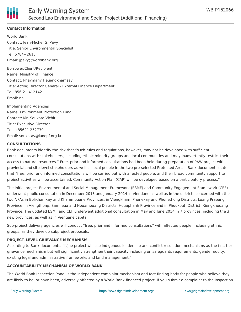

# **Contact Information**

World Bank Contact: Jean-Michel G. Pavy Title: Senior Environmental Specialist Tel: 5784+2615 Email: jpavy@worldbank.org

Borrower/Client/Recipient Name: Ministry of Finance Contact: Phaymany Heuangkhamsay Title: Acting Director General - External Finance Department Tel: 856-21-412142 Email: na

Implementing Agencies Name: Environment Protection Fund Contact: Mr. Soukata Vichit Title: Executive Director Tel: +85621 252739 Email: soukatav@laoepf.org.la

#### **CONSULTATIONS**

Bank documents identify the risk that "such rules and regulations, however, may not be developed with sufficient consultations with stakeholders, including ethnic minority groups and local communities and may inadvertently restrict their access to natural resources." Free, prior and informed consultations had been held during preparation of PAW project with provincial and site level stakeholders as well as local people in the two pre-selected Protected Areas. Bank documents state that "free, prior and informed consultations will be carried out with affected people, and their broad community support to project activities will be ascertained. Community Action Plan (CAP) will be developed based on a participatory process."

The initial project Environmental and Social Management Framework (ESMF) and Community Engagement Framework (CEF) underwent public consultation in December 2013 and January 2014 in Vientiane as well as in the districts concerned with the two NPAs in Bolikhamxay and Khammouane Provinces, in Viengkham, Phonexay and Phonethong Districts, Luang Prabang Province, in Viengthong, Samneua and Houamouang Districts, Houaphanh Province and in Phoukout, District, Xiengkhouang Province. The updated ESMF and CEF underwent additional consultation in May and June 2014 in 7 provinces, including the 3 new provinces, as well as in Vientiane capital.

Sub-project delivery agencies will conduct "free, prior and informed consultations" with affected people, including ethnic groups, as they develop subproject proposals.

### **PROJECT-LEVEL GRIEVANCE MECHANISM**

According to Bank documents, "[t]he project will use indigenous leadership and conflict resolution mechanisms as the first tier grievance mechanism but will significantly strengthen their capacity including on safeguards requirements, gender equity, existing legal and administrative frameworks and land management."

### **ACCOUNTABILITY MECHANISM OF WORLD BANK**

The World Bank Inspection Panel is the independent complaint mechanism and fact-finding body for people who believe they are likely to be, or have been, adversely affected by a World Bank-financed project. If you submit a complaint to the Inspection

Panel, they may investigate to assess whether the World Bank is following its own policies and procedures for preventing harm